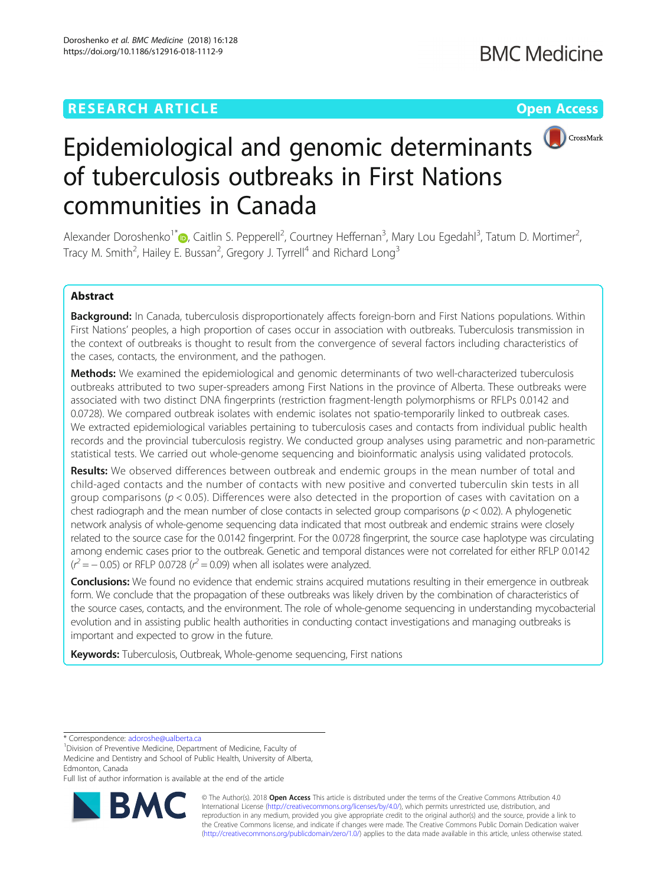## **RESEARCH ARTICLE Example 2018 12:30 The Contract of Contract ACCESS**



# Epidemiological and genomic determinants of tuberculosis outbreaks in First Nations communities in Canada

Alexander Doroshenko<sup>1\*</sup> (**D**[,](http://orcid.org/0000-0001-6804-1245) Caitlin S. Pepperell<sup>2</sup>, Courtney Heffernan<sup>3</sup>, Mary Lou Egedahl<sup>3</sup>, Tatum D. Mortimer<sup>2</sup> , Tracy M. Smith<sup>2</sup>, Hailey E. Bussan<sup>2</sup>, Gregory J. Tyrrell<sup>4</sup> and Richard Long<sup>3</sup>

## Abstract

Background: In Canada, tuberculosis disproportionately affects foreign-born and First Nations populations. Within First Nations' peoples, a high proportion of cases occur in association with outbreaks. Tuberculosis transmission in the context of outbreaks is thought to result from the convergence of several factors including characteristics of the cases, contacts, the environment, and the pathogen.

**Methods:** We examined the epidemiological and genomic determinants of two well-characterized tuberculosis outbreaks attributed to two super-spreaders among First Nations in the province of Alberta. These outbreaks were associated with two distinct DNA fingerprints (restriction fragment-length polymorphisms or RFLPs 0.0142 and 0.0728). We compared outbreak isolates with endemic isolates not spatio-temporarily linked to outbreak cases. We extracted epidemiological variables pertaining to tuberculosis cases and contacts from individual public health records and the provincial tuberculosis registry. We conducted group analyses using parametric and non-parametric statistical tests. We carried out whole-genome sequencing and bioinformatic analysis using validated protocols.

Results: We observed differences between outbreak and endemic groups in the mean number of total and child-aged contacts and the number of contacts with new positive and converted tuberculin skin tests in all group comparisons ( $p < 0.05$ ). Differences were also detected in the proportion of cases with cavitation on a chest radiograph and the mean number of close contacts in selected group comparisons ( $p < 0.02$ ). A phylogenetic network analysis of whole-genome sequencing data indicated that most outbreak and endemic strains were closely related to the source case for the 0.0142 fingerprint. For the 0.0728 fingerprint, the source case haplotype was circulating among endemic cases prior to the outbreak. Genetic and temporal distances were not correlated for either RFLP 0.0142  $(r^2 = -0.05)$  or RFLP 0.0728 ( $r^2 = 0.09$ ) when all isolates were analyzed.

Conclusions: We found no evidence that endemic strains acquired mutations resulting in their emergence in outbreak form. We conclude that the propagation of these outbreaks was likely driven by the combination of characteristics of the source cases, contacts, and the environment. The role of whole-genome sequencing in understanding mycobacterial evolution and in assisting public health authorities in conducting contact investigations and managing outbreaks is important and expected to grow in the future.

**Keywords:** Tuberculosis, Outbreak, Whole-genome sequencing, First nations

Full list of author information is available at the end of the article



© The Author(s). 2018 Open Access This article is distributed under the terms of the Creative Commons Attribution 4.0 International License [\(http://creativecommons.org/licenses/by/4.0/](http://creativecommons.org/licenses/by/4.0/)), which permits unrestricted use, distribution, and reproduction in any medium, provided you give appropriate credit to the original author(s) and the source, provide a link to the Creative Commons license, and indicate if changes were made. The Creative Commons Public Domain Dedication waiver [\(http://creativecommons.org/publicdomain/zero/1.0/](http://creativecommons.org/publicdomain/zero/1.0/)) applies to the data made available in this article, unless otherwise stated.

<sup>\*</sup> Correspondence: [adoroshe@ualberta.ca](mailto:adoroshe@ualberta.ca) <sup>1</sup>

<sup>&</sup>lt;sup>1</sup> Division of Preventive Medicine, Department of Medicine, Faculty of Medicine and Dentistry and School of Public Health, University of Alberta, Edmonton, Canada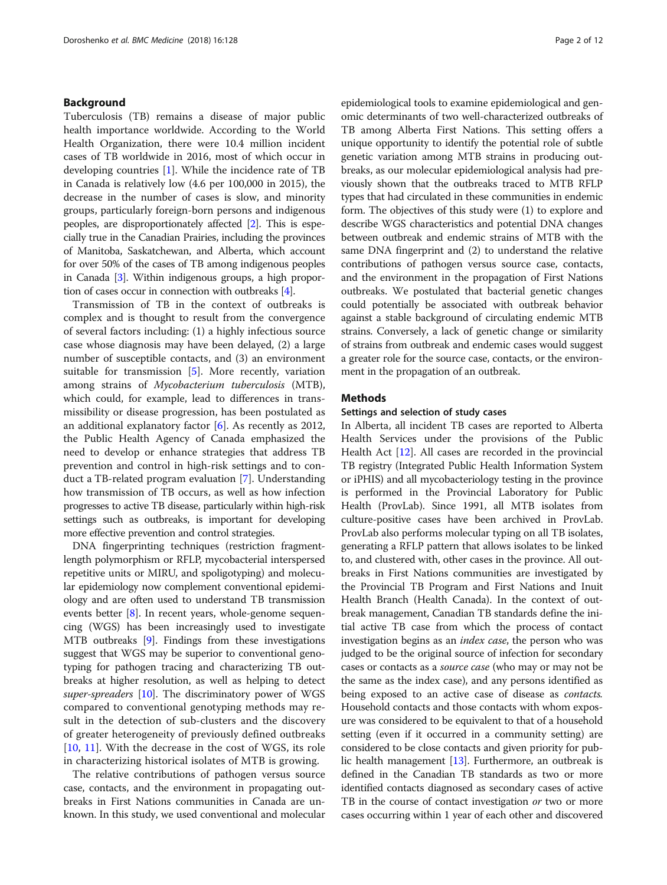## Background

Tuberculosis (TB) remains a disease of major public health importance worldwide. According to the World Health Organization, there were 10.4 million incident cases of TB worldwide in 2016, most of which occur in developing countries [\[1](#page-11-0)]. While the incidence rate of TB in Canada is relatively low (4.6 per 100,000 in 2015), the decrease in the number of cases is slow, and minority groups, particularly foreign-born persons and indigenous peoples, are disproportionately affected [\[2](#page-11-0)]. This is especially true in the Canadian Prairies, including the provinces of Manitoba, Saskatchewan, and Alberta, which account for over 50% of the cases of TB among indigenous peoples in Canada [[3\]](#page-11-0). Within indigenous groups, a high proportion of cases occur in connection with outbreaks [\[4\]](#page-11-0).

Transmission of TB in the context of outbreaks is complex and is thought to result from the convergence of several factors including: (1) a highly infectious source case whose diagnosis may have been delayed, (2) a large number of susceptible contacts, and (3) an environment suitable for transmission [\[5](#page-11-0)]. More recently, variation among strains of Mycobacterium tuberculosis (MTB), which could, for example, lead to differences in transmissibility or disease progression, has been postulated as an additional explanatory factor [\[6](#page-11-0)]. As recently as 2012, the Public Health Agency of Canada emphasized the need to develop or enhance strategies that address TB prevention and control in high-risk settings and to conduct a TB-related program evaluation [[7\]](#page-11-0). Understanding how transmission of TB occurs, as well as how infection progresses to active TB disease, particularly within high-risk settings such as outbreaks, is important for developing more effective prevention and control strategies.

DNA fingerprinting techniques (restriction fragmentlength polymorphism or RFLP, mycobacterial interspersed repetitive units or MIRU, and spoligotyping) and molecular epidemiology now complement conventional epidemiology and are often used to understand TB transmission events better [[8\]](#page-11-0). In recent years, whole-genome sequencing (WGS) has been increasingly used to investigate MTB outbreaks [[9\]](#page-11-0). Findings from these investigations suggest that WGS may be superior to conventional genotyping for pathogen tracing and characterizing TB outbreaks at higher resolution, as well as helping to detect super-spreaders [\[10\]](#page-11-0). The discriminatory power of WGS compared to conventional genotyping methods may result in the detection of sub-clusters and the discovery of greater heterogeneity of previously defined outbreaks [[10,](#page-11-0) [11](#page-11-0)]. With the decrease in the cost of WGS, its role in characterizing historical isolates of MTB is growing.

The relative contributions of pathogen versus source case, contacts, and the environment in propagating outbreaks in First Nations communities in Canada are unknown. In this study, we used conventional and molecular epidemiological tools to examine epidemiological and genomic determinants of two well-characterized outbreaks of TB among Alberta First Nations. This setting offers a unique opportunity to identify the potential role of subtle genetic variation among MTB strains in producing outbreaks, as our molecular epidemiological analysis had previously shown that the outbreaks traced to MTB RFLP types that had circulated in these communities in endemic form. The objectives of this study were (1) to explore and describe WGS characteristics and potential DNA changes between outbreak and endemic strains of MTB with the same DNA fingerprint and (2) to understand the relative contributions of pathogen versus source case, contacts, and the environment in the propagation of First Nations outbreaks. We postulated that bacterial genetic changes could potentially be associated with outbreak behavior against a stable background of circulating endemic MTB strains. Conversely, a lack of genetic change or similarity of strains from outbreak and endemic cases would suggest a greater role for the source case, contacts, or the environment in the propagation of an outbreak.

## Methods

## Settings and selection of study cases

In Alberta, all incident TB cases are reported to Alberta Health Services under the provisions of the Public Health Act [[12](#page-11-0)]. All cases are recorded in the provincial TB registry (Integrated Public Health Information System or iPHIS) and all mycobacteriology testing in the province is performed in the Provincial Laboratory for Public Health (ProvLab). Since 1991, all MTB isolates from culture-positive cases have been archived in ProvLab. ProvLab also performs molecular typing on all TB isolates, generating a RFLP pattern that allows isolates to be linked to, and clustered with, other cases in the province. All outbreaks in First Nations communities are investigated by the Provincial TB Program and First Nations and Inuit Health Branch (Health Canada). In the context of outbreak management, Canadian TB standards define the initial active TB case from which the process of contact investigation begins as an *index case*, the person who was judged to be the original source of infection for secondary cases or contacts as a source case (who may or may not be the same as the index case), and any persons identified as being exposed to an active case of disease as contacts. Household contacts and those contacts with whom exposure was considered to be equivalent to that of a household setting (even if it occurred in a community setting) are considered to be close contacts and given priority for public health management [[13](#page-11-0)]. Furthermore, an outbreak is defined in the Canadian TB standards as two or more identified contacts diagnosed as secondary cases of active TB in the course of contact investigation or two or more cases occurring within 1 year of each other and discovered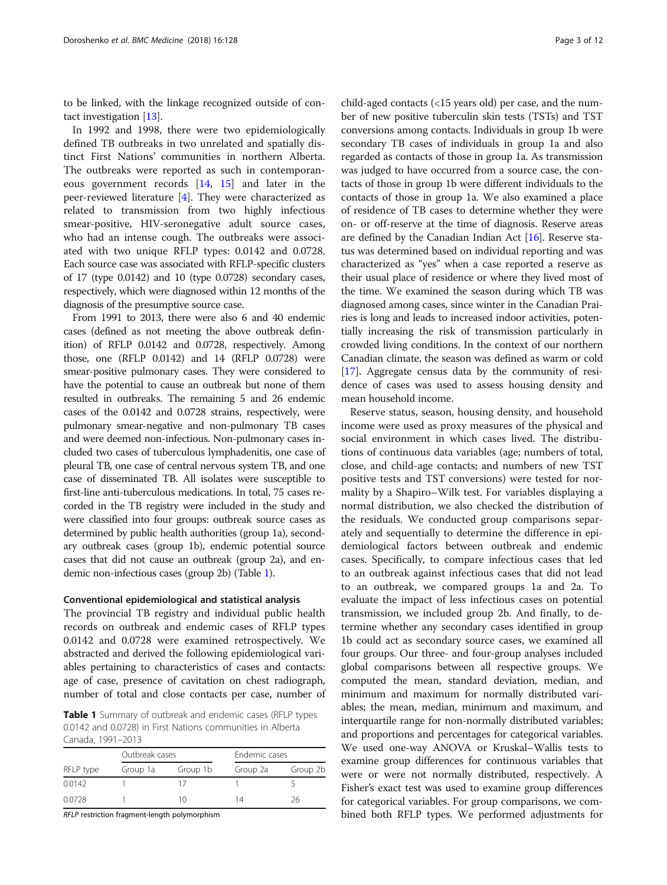to be linked, with the linkage recognized outside of contact investigation [\[13](#page-11-0)].

In 1992 and 1998, there were two epidemiologically defined TB outbreaks in two unrelated and spatially distinct First Nations' communities in northern Alberta. The outbreaks were reported as such in contemporaneous government records [[14,](#page-11-0) [15](#page-11-0)] and later in the peer-reviewed literature [\[4](#page-11-0)]. They were characterized as related to transmission from two highly infectious smear-positive, HIV-seronegative adult source cases, who had an intense cough. The outbreaks were associated with two unique RFLP types: 0.0142 and 0.0728. Each source case was associated with RFLP-specific clusters of 17 (type 0.0142) and 10 (type 0.0728) secondary cases, respectively, which were diagnosed within 12 months of the diagnosis of the presumptive source case.

From 1991 to 2013, there were also 6 and 40 endemic cases (defined as not meeting the above outbreak definition) of RFLP 0.0142 and 0.0728, respectively. Among those, one (RFLP 0.0142) and 14 (RFLP 0.0728) were smear-positive pulmonary cases. They were considered to have the potential to cause an outbreak but none of them resulted in outbreaks. The remaining 5 and 26 endemic cases of the 0.0142 and 0.0728 strains, respectively, were pulmonary smear-negative and non-pulmonary TB cases and were deemed non-infectious. Non-pulmonary cases included two cases of tuberculous lymphadenitis, one case of pleural TB, one case of central nervous system TB, and one case of disseminated TB. All isolates were susceptible to first-line anti-tuberculous medications. In total, 75 cases recorded in the TB registry were included in the study and were classified into four groups: outbreak source cases as determined by public health authorities (group 1a), secondary outbreak cases (group 1b), endemic potential source cases that did not cause an outbreak (group 2a), and endemic non-infectious cases (group 2b) (Table 1).

## Conventional epidemiological and statistical analysis

The provincial TB registry and individual public health records on outbreak and endemic cases of RFLP types 0.0142 and 0.0728 were examined retrospectively. We abstracted and derived the following epidemiological variables pertaining to characteristics of cases and contacts: age of case, presence of cavitation on chest radiograph, number of total and close contacts per case, number of

Table 1 Summary of outbreak and endemic cases (RFLP types 0.0142 and 0.0728) in First Nations communities in Alberta Canada, 1991–2013

| RFLP type | Outbreak cases |          | Endemic cases |          |
|-----------|----------------|----------|---------------|----------|
|           | Group 1a       | Group 1b | Group 2a      | Group 2b |
| 0.0142    |                |          |               |          |
| 0.0728    |                | 10       | 14            | 26       |

RFLP restriction fragment-length polymorphism

child-aged contacts (<15 years old) per case, and the number of new positive tuberculin skin tests (TSTs) and TST conversions among contacts. Individuals in group 1b were secondary TB cases of individuals in group 1a and also regarded as contacts of those in group 1a. As transmission was judged to have occurred from a source case, the contacts of those in group 1b were different individuals to the contacts of those in group 1a. We also examined a place of residence of TB cases to determine whether they were on- or off-reserve at the time of diagnosis. Reserve areas are defined by the Canadian Indian Act [[16](#page-11-0)]. Reserve status was determined based on individual reporting and was characterized as "yes" when a case reported a reserve as their usual place of residence or where they lived most of the time. We examined the season during which TB was diagnosed among cases, since winter in the Canadian Prairies is long and leads to increased indoor activities, potentially increasing the risk of transmission particularly in crowded living conditions. In the context of our northern Canadian climate, the season was defined as warm or cold [[17](#page-11-0)]. Aggregate census data by the community of residence of cases was used to assess housing density and mean household income.

Reserve status, season, housing density, and household income were used as proxy measures of the physical and social environment in which cases lived. The distributions of continuous data variables (age; numbers of total, close, and child-age contacts; and numbers of new TST positive tests and TST conversions) were tested for normality by a Shapiro–Wilk test. For variables displaying a normal distribution, we also checked the distribution of the residuals. We conducted group comparisons separately and sequentially to determine the difference in epidemiological factors between outbreak and endemic cases. Specifically, to compare infectious cases that led to an outbreak against infectious cases that did not lead to an outbreak, we compared groups 1a and 2a. To evaluate the impact of less infectious cases on potential transmission, we included group 2b. And finally, to determine whether any secondary cases identified in group 1b could act as secondary source cases, we examined all four groups. Our three- and four-group analyses included global comparisons between all respective groups. We computed the mean, standard deviation, median, and minimum and maximum for normally distributed variables; the mean, median, minimum and maximum, and interquartile range for non-normally distributed variables; and proportions and percentages for categorical variables. We used one-way ANOVA or Kruskal–Wallis tests to examine group differences for continuous variables that were or were not normally distributed, respectively. A Fisher's exact test was used to examine group differences for categorical variables. For group comparisons, we combined both RFLP types. We performed adjustments for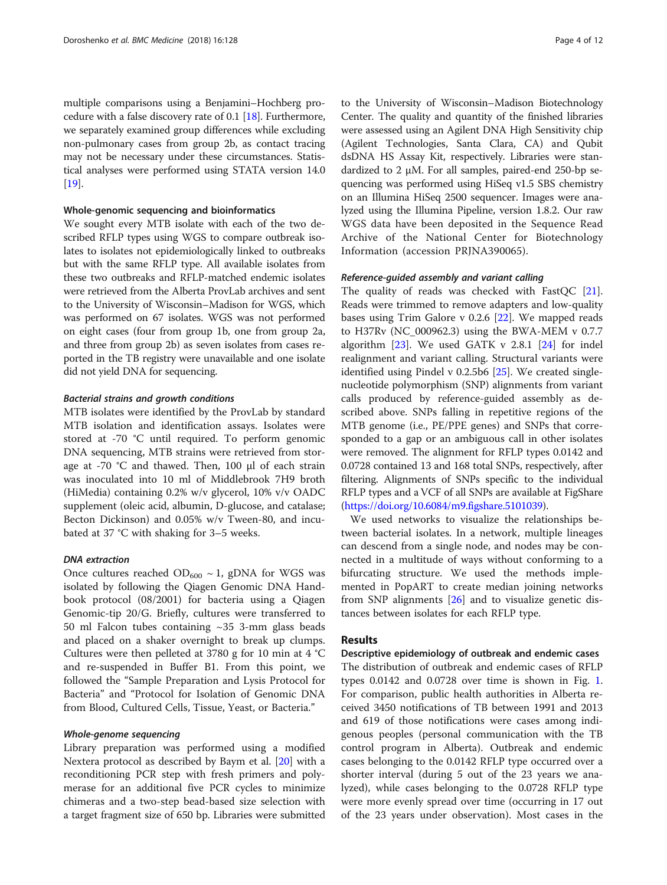multiple comparisons using a Benjamini–Hochberg procedure with a false discovery rate of 0.1 [[18](#page-11-0)]. Furthermore, we separately examined group differences while excluding non-pulmonary cases from group 2b, as contact tracing may not be necessary under these circumstances. Statistical analyses were performed using STATA version 14.0 [[19](#page-11-0)].

### Whole-genomic sequencing and bioinformatics

We sought every MTB isolate with each of the two described RFLP types using WGS to compare outbreak isolates to isolates not epidemiologically linked to outbreaks but with the same RFLP type. All available isolates from these two outbreaks and RFLP-matched endemic isolates were retrieved from the Alberta ProvLab archives and sent to the University of Wisconsin–Madison for WGS, which was performed on 67 isolates. WGS was not performed on eight cases (four from group 1b, one from group 2a, and three from group 2b) as seven isolates from cases reported in the TB registry were unavailable and one isolate did not yield DNA for sequencing.

## Bacterial strains and growth conditions

MTB isolates were identified by the ProvLab by standard MTB isolation and identification assays. Isolates were stored at -70 °C until required. To perform genomic DNA sequencing, MTB strains were retrieved from storage at -70 °C and thawed. Then, 100 μl of each strain was inoculated into 10 ml of Middlebrook 7H9 broth (HiMedia) containing 0.2% w/v glycerol, 10% v/v OADC supplement (oleic acid, albumin, D-glucose, and catalase; Becton Dickinson) and 0.05% w/v Tween-80, and incubated at 37 °C with shaking for 3–5 weeks.

## DNA extraction

Once cultures reached  $OD_{600} \sim 1$ , gDNA for WGS was isolated by following the Qiagen Genomic DNA Handbook protocol (08/2001) for bacteria using a Qiagen Genomic-tip 20/G. Briefly, cultures were transferred to 50 ml Falcon tubes containing ~35 3-mm glass beads and placed on a shaker overnight to break up clumps. Cultures were then pelleted at 3780 g for 10 min at 4 °C and re-suspended in Buffer B1. From this point, we followed the "Sample Preparation and Lysis Protocol for Bacteria" and "Protocol for Isolation of Genomic DNA from Blood, Cultured Cells, Tissue, Yeast, or Bacteria."

## Whole-genome sequencing

Library preparation was performed using a modified Nextera protocol as described by Baym et al. [[20\]](#page-11-0) with a reconditioning PCR step with fresh primers and polymerase for an additional five PCR cycles to minimize chimeras and a two-step bead-based size selection with a target fragment size of 650 bp. Libraries were submitted to the University of Wisconsin–Madison Biotechnology Center. The quality and quantity of the finished libraries were assessed using an Agilent DNA High Sensitivity chip (Agilent Technologies, Santa Clara, CA) and Qubit dsDNA HS Assay Kit, respectively. Libraries were standardized to 2 μM. For all samples, paired-end 250-bp sequencing was performed using HiSeq v1.5 SBS chemistry on an Illumina HiSeq 2500 sequencer. Images were analyzed using the Illumina Pipeline, version 1.8.2. Our raw WGS data have been deposited in the Sequence Read Archive of the National Center for Biotechnology Information (accession PRJNA390065).

## Reference-guided assembly and variant calling

The quality of reads was checked with FastQC [\[21](#page-11-0)]. Reads were trimmed to remove adapters and low-quality bases using Trim Galore v 0.2.6 [\[22](#page-11-0)]. We mapped reads to H37Rv (NC\_000962.3) using the BWA-MEM v 0.7.7 algorithm  $[23]$  $[23]$  $[23]$ . We used GATK v 2.8.1  $[24]$  $[24]$  for indel realignment and variant calling. Structural variants were identified using Pindel v 0.2.5b6 [[25\]](#page-11-0). We created singlenucleotide polymorphism (SNP) alignments from variant calls produced by reference-guided assembly as described above. SNPs falling in repetitive regions of the MTB genome (i.e., PE/PPE genes) and SNPs that corresponded to a gap or an ambiguous call in other isolates were removed. The alignment for RFLP types 0.0142 and 0.0728 contained 13 and 168 total SNPs, respectively, after filtering. Alignments of SNPs specific to the individual RFLP types and a VCF of all SNPs are available at FigShare ([https://doi.org/10.6084/m9.figshare.5101039\)](https://doi.org/10.6084/m9.figshare.5101039).

We used networks to visualize the relationships between bacterial isolates. In a network, multiple lineages can descend from a single node, and nodes may be connected in a multitude of ways without conforming to a bifurcating structure. We used the methods implemented in PopART to create median joining networks from SNP alignments [[26\]](#page-11-0) and to visualize genetic distances between isolates for each RFLP type.

## Results

## Descriptive epidemiology of outbreak and endemic cases The distribution of outbreak and endemic cases of RFLP types 0.0142 and 0.0728 over time is shown in Fig. [1](#page-4-0). For comparison, public health authorities in Alberta received 3450 notifications of TB between 1991 and 2013 and 619 of those notifications were cases among indigenous peoples (personal communication with the TB control program in Alberta). Outbreak and endemic cases belonging to the 0.0142 RFLP type occurred over a shorter interval (during 5 out of the 23 years we analyzed), while cases belonging to the 0.0728 RFLP type were more evenly spread over time (occurring in 17 out of the 23 years under observation). Most cases in the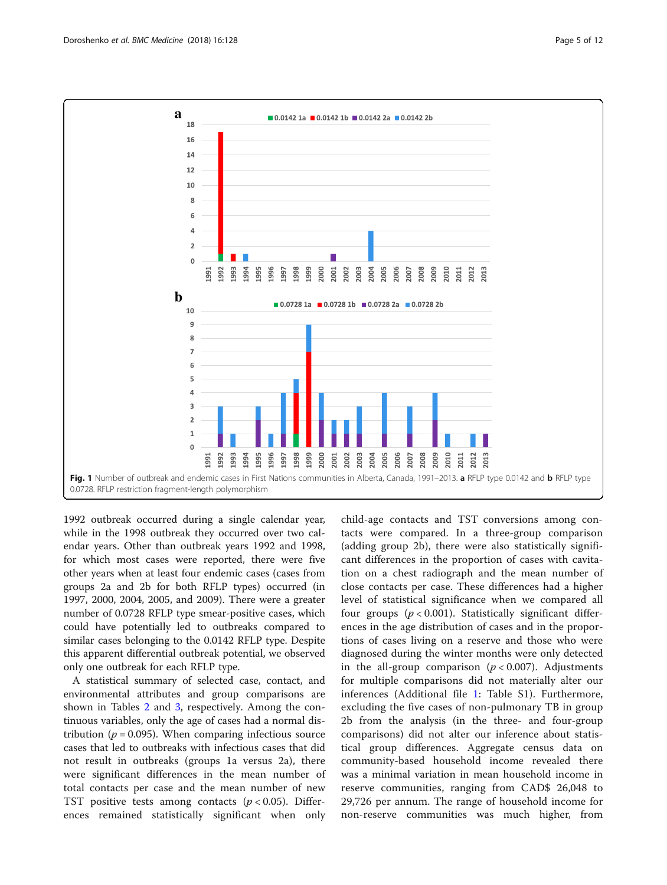<span id="page-4-0"></span>

1992 outbreak occurred during a single calendar year, while in the 1998 outbreak they occurred over two calendar years. Other than outbreak years 1992 and 1998, for which most cases were reported, there were five other years when at least four endemic cases (cases from groups 2a and 2b for both RFLP types) occurred (in 1997, 2000, 2004, 2005, and 2009). There were a greater number of 0.0728 RFLP type smear-positive cases, which could have potentially led to outbreaks compared to similar cases belonging to the 0.0142 RFLP type. Despite this apparent differential outbreak potential, we observed only one outbreak for each RFLP type.

A statistical summary of selected case, contact, and environmental attributes and group comparisons are shown in Tables [2](#page-5-0) and [3](#page-6-0), respectively. Among the continuous variables, only the age of cases had a normal distribution ( $p = 0.095$ ). When comparing infectious source cases that led to outbreaks with infectious cases that did not result in outbreaks (groups 1a versus 2a), there were significant differences in the mean number of total contacts per case and the mean number of new TST positive tests among contacts  $(p < 0.05)$ . Differences remained statistically significant when only child-age contacts and TST conversions among contacts were compared. In a three-group comparison (adding group 2b), there were also statistically significant differences in the proportion of cases with cavitation on a chest radiograph and the mean number of close contacts per case. These differences had a higher level of statistical significance when we compared all four groups  $(p < 0.001)$ . Statistically significant differences in the age distribution of cases and in the proportions of cases living on a reserve and those who were diagnosed during the winter months were only detected in the all-group comparison ( $p < 0.007$ ). Adjustments for multiple comparisons did not materially alter our inferences (Additional file [1:](#page-10-0) Table S1). Furthermore, excluding the five cases of non-pulmonary TB in group 2b from the analysis (in the three- and four-group comparisons) did not alter our inference about statistical group differences. Aggregate census data on community-based household income revealed there was a minimal variation in mean household income in reserve communities, ranging from CAD\$ 26,048 to 29,726 per annum. The range of household income for non-reserve communities was much higher, from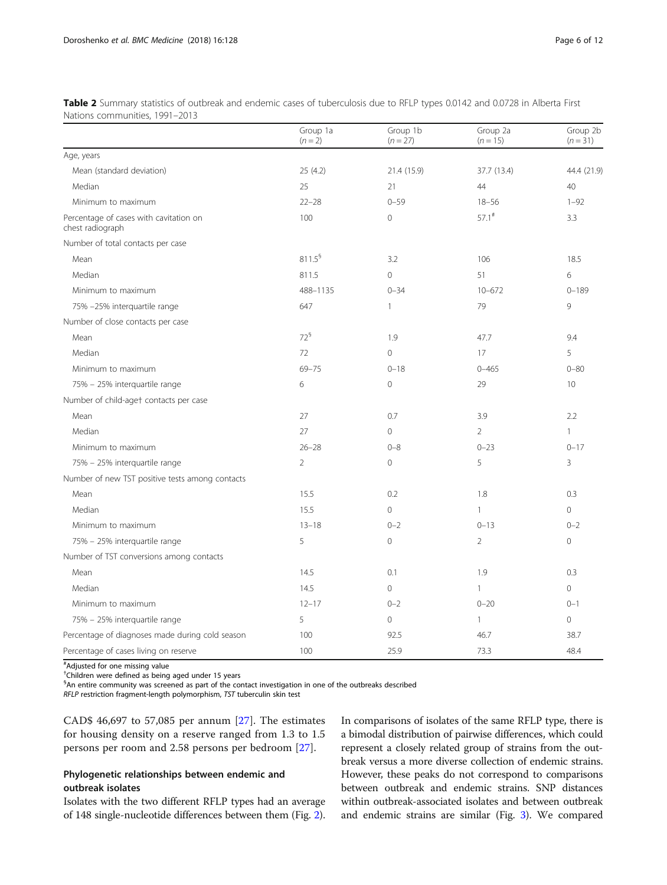|                                                            | Group 1a<br>$(n = 2)$ | Group 1b<br>$(n = 27)$ | Group 2a<br>$(n = 15)$ | Group 2b<br>$(n = 31)$ |
|------------------------------------------------------------|-----------------------|------------------------|------------------------|------------------------|
| Age, years                                                 |                       |                        |                        |                        |
| Mean (standard deviation)                                  | 25 (4.2)              | 21.4 (15.9)            | 37.7 (13.4)            | 44.4 (21.9)            |
| Median                                                     | 25                    | 21                     | 44                     | 40                     |
| Minimum to maximum                                         | $22 - 28$             | $0 - 59$               | $18 - 56$              | $1 - 92$               |
| Percentage of cases with cavitation on<br>chest radiograph | 100                   | $\mathbf{0}$           | $57.1^*$               | 3.3                    |
| Number of total contacts per case                          |                       |                        |                        |                        |
| Mean                                                       | $811.5^5$             | 3.2                    | 106                    | 18.5                   |
| Median                                                     | 811.5                 | $\mathbf{O}$           | 51                     | 6                      |
| Minimum to maximum                                         | 488-1135              | $0 - 34$               | $10 - 672$             | $0 - 189$              |
| 75% -25% interquartile range                               | 647                   | $\mathbf{1}$           | 79                     | 9                      |
| Number of close contacts per case                          |                       |                        |                        |                        |
| Mean                                                       | $72^5$                | 1.9                    | 47.7                   | 9.4                    |
| Median                                                     | 72                    | $\overline{0}$         | 17                     | 5                      |
| Minimum to maximum                                         | $69 - 75$             | $0 - 18$               | $0 - 465$              | $0 - 80$               |
| 75% - 25% interguartile range                              | 6                     | $\overline{0}$         | 29                     | 10                     |
| Number of child-aget contacts per case                     |                       |                        |                        |                        |
| Mean                                                       | 27                    | 0.7                    | 3.9                    | 2.2                    |
| Median                                                     | 27                    | $\mathbf{0}$           | $\overline{2}$         | $\mathbf{1}$           |
| Minimum to maximum                                         | $26 - 28$             | $0 - 8$                | $0 - 23$               | $0 - 17$               |
| 75% - 25% interquartile range                              | $\overline{2}$        | $\mathbf{O}$           | 5                      | 3                      |
| Number of new TST positive tests among contacts            |                       |                        |                        |                        |
| Mean                                                       | 15.5                  | 0.2                    | 1.8                    | 0.3                    |
| Median                                                     | 15.5                  | $\mathbf{0}$           | $\mathbf{1}$           | $\circ$                |
| Minimum to maximum                                         | $13 - 18$             | $0 - 2$                | $0 - 13$               | $0 - 2$                |
| 75% - 25% interquartile range                              | 5                     | $\overline{0}$         | $\overline{2}$         | 0                      |
| Number of TST conversions among contacts                   |                       |                        |                        |                        |
| Mean                                                       | 14.5                  | 0.1                    | 1.9                    | 0.3                    |
| Median                                                     | 14.5                  | $\overline{0}$         | $\mathbf{1}$           | $\Omega$               |
| Minimum to maximum                                         | $12 - 17$             | $0 - 2$                | $0 - 20$               | $0 - 1$                |
| 75% - 25% interquartile range                              | 5                     | $\circ$                | $\mathbf{1}$           | $\overline{0}$         |
| Percentage of diagnoses made during cold season            | 100                   | 92.5                   | 46.7                   | 38.7                   |
| Percentage of cases living on reserve                      | 100                   | 25.9                   | 73.3                   | 48.4                   |

<span id="page-5-0"></span>Table 2 Summary statistics of outbreak and endemic cases of tuberculosis due to RFLP types 0.0142 and 0.0728 in Alberta First Nations communities, 1991–2013

# Adjusted for one missing value

† Children were defined as being aged under 15 years

§ An entire community was screened as part of the contact investigation in one of the outbreaks described

RFLP restriction fragment-length polymorphism, TST tuberculin skin test

CAD\$ 46,697 to 57,085 per annum [[27](#page-11-0)]. The estimates for housing density on a reserve ranged from 1.3 to 1.5 persons per room and 2.58 persons per bedroom [[27](#page-11-0)].

## Phylogenetic relationships between endemic and outbreak isolates

Isolates with the two different RFLP types had an average of 148 single-nucleotide differences between them (Fig. [2](#page-6-0)). In comparisons of isolates of the same RFLP type, there is a bimodal distribution of pairwise differences, which could represent a closely related group of strains from the outbreak versus a more diverse collection of endemic strains. However, these peaks do not correspond to comparisons between outbreak and endemic strains. SNP distances within outbreak-associated isolates and between outbreak and endemic strains are similar (Fig. [3\)](#page-7-0). We compared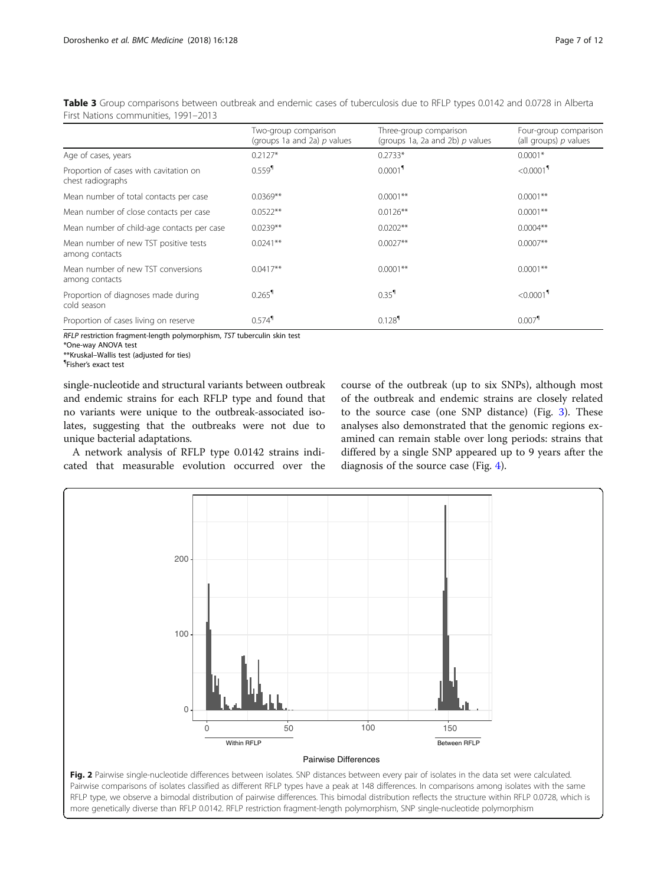|                                                             | Two-group comparison<br>(groups 1a and 2a) $p$ values | Three-group comparison<br>(groups 1a, 2a and 2b) $p$ values | Four-group comparison<br>(all groups) $p$ values |
|-------------------------------------------------------------|-------------------------------------------------------|-------------------------------------------------------------|--------------------------------------------------|
| Age of cases, years                                         | $0.2127*$                                             | $0.2733*$                                                   | $0.0001*$                                        |
| Proportion of cases with cavitation on<br>chest radiographs | $0.559$ <sup>1</sup>                                  | 0.0001 <sup>9</sup>                                         | $< 0.0001$ <sup>1</sup>                          |
| Mean number of total contacts per case                      | $0.0369**$                                            | $0.0001**$                                                  | $0.0001**$                                       |
| Mean number of close contacts per case                      | $0.0522**$                                            | $0.0126**$                                                  | $0.0001**$                                       |
| Mean number of child-age contacts per case                  | $0.0239**$                                            | $0.0202**$                                                  | $0.0004**$                                       |
| Mean number of new TST positive tests<br>among contacts     | $0.0241**$                                            | $0.0027**$                                                  | $0.0007**$                                       |
| Mean number of new TST conversions<br>among contacts        | $0.0417**$                                            | $0.0001**$                                                  | $0.0001**$                                       |
| Proportion of diagnoses made during<br>cold season          | $0.265$ <sup>1</sup>                                  | $0.35$ <sup>1</sup>                                         | $< 0.0001$ <sup>1</sup>                          |
| Proportion of cases living on reserve                       | $0.574$ <sup>1</sup>                                  | $0.128$ <sup>1</sup>                                        | $0.007$ <sup>1</sup>                             |

<span id="page-6-0"></span>Table 3 Group comparisons between outbreak and endemic cases of tuberculosis due to RFLP types 0.0142 and 0.0728 in Alberta First Nations communities, 1991–2013

RFLP restriction fragment-length polymorphism, TST tuberculin skin test

\*One-way ANOVA test

\*\*Kruskal–Wallis test (adjusted for ties) ¶

Fisher's exact test

single-nucleotide and structural variants between outbreak and endemic strains for each RFLP type and found that no variants were unique to the outbreak-associated isolates, suggesting that the outbreaks were not due to unique bacterial adaptations.

A network analysis of RFLP type 0.0142 strains indicated that measurable evolution occurred over the course of the outbreak (up to six SNPs), although most of the outbreak and endemic strains are closely related to the source case (one SNP distance) (Fig. [3](#page-7-0)). These analyses also demonstrated that the genomic regions examined can remain stable over long periods: strains that differed by a single SNP appeared up to 9 years after the diagnosis of the source case (Fig. [4](#page-8-0)).

 $\Omega$ 100 200 50 100 150 Pairwise Differences 0 Within RFLP Between RFLP Fig. 2 Pairwise single-nucleotide differences between isolates. SNP distances between every pair of isolates in the data set were calculated. Pairwise comparisons of isolates classified as different RFLP types have a peak at 148 differences. In comparisons among isolates with the same RFLP type, we observe a bimodal distribution of pairwise differences. This bimodal distribution reflects the structure within RFLP 0.0728, which is

more genetically diverse than RFLP 0.0142. RFLP restriction fragment-length polymorphism, SNP single-nucleotide polymorphism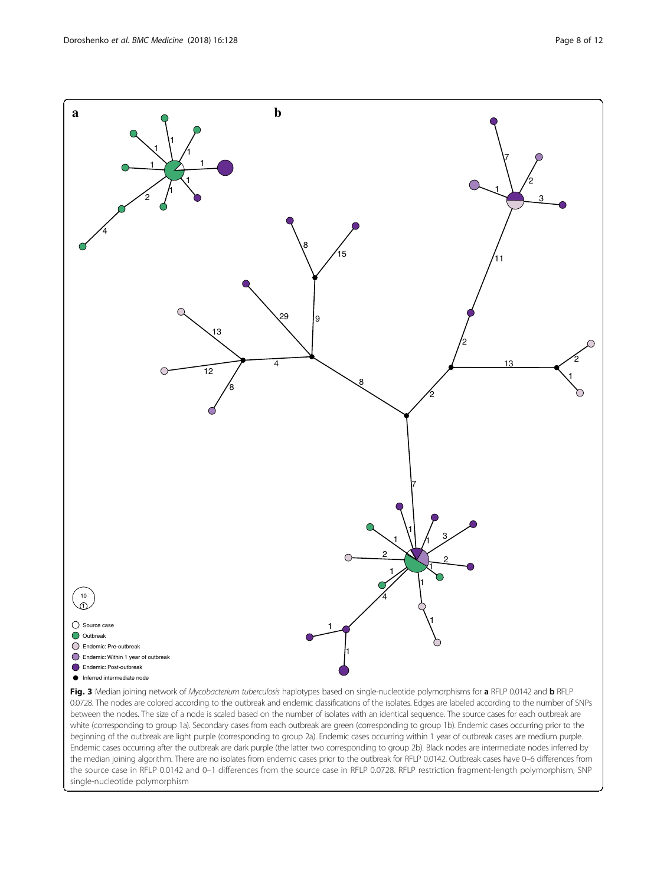<span id="page-7-0"></span>

Fig. 3 Median joining network of Mycobacterium tuberculosis haplotypes based on single-nucleotide polymorphisms for a RFLP 0.0142 and b RFLP 0.0728. The nodes are colored according to the outbreak and endemic classifications of the isolates. Edges are labeled according to the number of SNPs between the nodes. The size of a node is scaled based on the number of isolates with an identical sequence. The source cases for each outbreak are white (corresponding to group 1a). Secondary cases from each outbreak are green (corresponding to group 1b). Endemic cases occurring prior to the beginning of the outbreak are light purple (corresponding to group 2a). Endemic cases occurring within 1 year of outbreak cases are medium purple. Endemic cases occurring after the outbreak are dark purple (the latter two corresponding to group 2b). Black nodes are intermediate nodes inferred by the median joining algorithm. There are no isolates from endemic cases prior to the outbreak for RFLP 0.0142. Outbreak cases have 0–6 differences from the source case in RFLP 0.0142 and 0–1 differences from the source case in RFLP 0.0728. RFLP restriction fragment-length polymorphism, SNP single-nucleotide polymorphism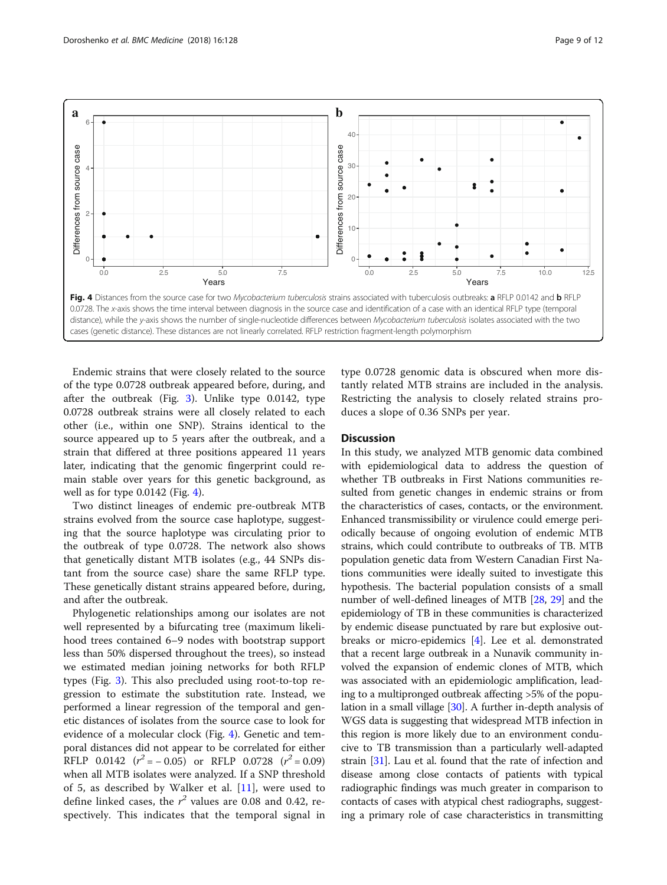<span id="page-8-0"></span>

Endemic strains that were closely related to the source of the type 0.0728 outbreak appeared before, during, and after the outbreak (Fig. [3\)](#page-7-0). Unlike type 0.0142, type 0.0728 outbreak strains were all closely related to each other (i.e., within one SNP). Strains identical to the source appeared up to 5 years after the outbreak, and a strain that differed at three positions appeared 11 years later, indicating that the genomic fingerprint could remain stable over years for this genetic background, as well as for type 0.0142 (Fig. 4).

Two distinct lineages of endemic pre-outbreak MTB strains evolved from the source case haplotype, suggesting that the source haplotype was circulating prior to the outbreak of type 0.0728. The network also shows that genetically distant MTB isolates (e.g., 44 SNPs distant from the source case) share the same RFLP type. These genetically distant strains appeared before, during, and after the outbreak.

Phylogenetic relationships among our isolates are not well represented by a bifurcating tree (maximum likelihood trees contained 6–9 nodes with bootstrap support less than 50% dispersed throughout the trees), so instead we estimated median joining networks for both RFLP types (Fig. [3](#page-7-0)). This also precluded using root-to-top regression to estimate the substitution rate. Instead, we performed a linear regression of the temporal and genetic distances of isolates from the source case to look for evidence of a molecular clock (Fig. 4). Genetic and temporal distances did not appear to be correlated for either RFLP  $0.0142$   $(r^2 = -0.05)$  or RFLP  $0.0728$   $(r^2 = 0.09)$ when all MTB isolates were analyzed. If a SNP threshold of 5, as described by Walker et al.  $[11]$  $[11]$  $[11]$ , were used to define linked cases, the  $r^2$  values are 0.08 and 0.42, respectively. This indicates that the temporal signal in type 0.0728 genomic data is obscured when more distantly related MTB strains are included in the analysis. Restricting the analysis to closely related strains produces a slope of 0.36 SNPs per year.

## **Discussion**

In this study, we analyzed MTB genomic data combined with epidemiological data to address the question of whether TB outbreaks in First Nations communities resulted from genetic changes in endemic strains or from the characteristics of cases, contacts, or the environment. Enhanced transmissibility or virulence could emerge periodically because of ongoing evolution of endemic MTB strains, which could contribute to outbreaks of TB. MTB population genetic data from Western Canadian First Nations communities were ideally suited to investigate this hypothesis. The bacterial population consists of a small number of well-defined lineages of MTB [[28](#page-11-0), [29](#page-11-0)] and the epidemiology of TB in these communities is characterized by endemic disease punctuated by rare but explosive outbreaks or micro-epidemics [[4\]](#page-11-0). Lee et al. demonstrated that a recent large outbreak in a Nunavik community involved the expansion of endemic clones of MTB, which was associated with an epidemiologic amplification, leading to a multipronged outbreak affecting >5% of the population in a small village [[30](#page-11-0)]. A further in-depth analysis of WGS data is suggesting that widespread MTB infection in this region is more likely due to an environment conducive to TB transmission than a particularly well-adapted strain [[31](#page-11-0)]. Lau et al. found that the rate of infection and disease among close contacts of patients with typical radiographic findings was much greater in comparison to contacts of cases with atypical chest radiographs, suggesting a primary role of case characteristics in transmitting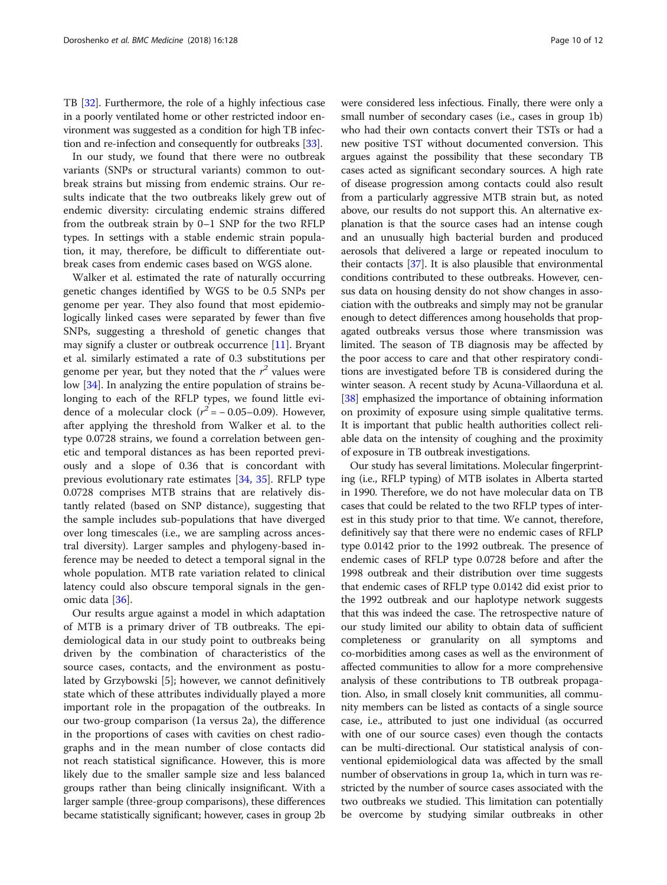TB [\[32](#page-11-0)]. Furthermore, the role of a highly infectious case in a poorly ventilated home or other restricted indoor environment was suggested as a condition for high TB infection and re-infection and consequently for outbreaks [\[33\]](#page-11-0).

In our study, we found that there were no outbreak variants (SNPs or structural variants) common to outbreak strains but missing from endemic strains. Our results indicate that the two outbreaks likely grew out of endemic diversity: circulating endemic strains differed from the outbreak strain by 0–1 SNP for the two RFLP types. In settings with a stable endemic strain population, it may, therefore, be difficult to differentiate outbreak cases from endemic cases based on WGS alone.

Walker et al. estimated the rate of naturally occurring genetic changes identified by WGS to be 0.5 SNPs per genome per year. They also found that most epidemiologically linked cases were separated by fewer than five SNPs, suggesting a threshold of genetic changes that may signify a cluster or outbreak occurrence [[11](#page-11-0)]. Bryant et al. similarly estimated a rate of 0.3 substitutions per genome per year, but they noted that the  $r^2$  values were low [\[34](#page-11-0)]. In analyzing the entire population of strains belonging to each of the RFLP types, we found little evidence of a molecular clock  $(r^2 = -0.05-0.09)$ . However, after applying the threshold from Walker et al. to the type 0.0728 strains, we found a correlation between genetic and temporal distances as has been reported previously and a slope of 0.36 that is concordant with previous evolutionary rate estimates [\[34](#page-11-0), [35\]](#page-11-0). RFLP type 0.0728 comprises MTB strains that are relatively distantly related (based on SNP distance), suggesting that the sample includes sub-populations that have diverged over long timescales (i.e., we are sampling across ancestral diversity). Larger samples and phylogeny-based inference may be needed to detect a temporal signal in the whole population. MTB rate variation related to clinical latency could also obscure temporal signals in the genomic data [\[36](#page-11-0)].

Our results argue against a model in which adaptation of MTB is a primary driver of TB outbreaks. The epidemiological data in our study point to outbreaks being driven by the combination of characteristics of the source cases, contacts, and the environment as postulated by Grzybowski [5]; however, we cannot definitively state which of these attributes individually played a more important role in the propagation of the outbreaks. In our two-group comparison (1a versus 2a), the difference in the proportions of cases with cavities on chest radiographs and in the mean number of close contacts did not reach statistical significance. However, this is more likely due to the smaller sample size and less balanced groups rather than being clinically insignificant. With a larger sample (three-group comparisons), these differences became statistically significant; however, cases in group 2b were considered less infectious. Finally, there were only a small number of secondary cases (i.e., cases in group 1b) who had their own contacts convert their TSTs or had a new positive TST without documented conversion. This argues against the possibility that these secondary TB cases acted as significant secondary sources. A high rate of disease progression among contacts could also result from a particularly aggressive MTB strain but, as noted above, our results do not support this. An alternative explanation is that the source cases had an intense cough and an unusually high bacterial burden and produced aerosols that delivered a large or repeated inoculum to their contacts [[37](#page-11-0)]. It is also plausible that environmental conditions contributed to these outbreaks. However, census data on housing density do not show changes in association with the outbreaks and simply may not be granular enough to detect differences among households that propagated outbreaks versus those where transmission was limited. The season of TB diagnosis may be affected by the poor access to care and that other respiratory conditions are investigated before TB is considered during the winter season. A recent study by Acuna-Villaorduna et al. [[38](#page-11-0)] emphasized the importance of obtaining information on proximity of exposure using simple qualitative terms. It is important that public health authorities collect reliable data on the intensity of coughing and the proximity of exposure in TB outbreak investigations.

Our study has several limitations. Molecular fingerprinting (i.e., RFLP typing) of MTB isolates in Alberta started in 1990. Therefore, we do not have molecular data on TB cases that could be related to the two RFLP types of interest in this study prior to that time. We cannot, therefore, definitively say that there were no endemic cases of RFLP type 0.0142 prior to the 1992 outbreak. The presence of endemic cases of RFLP type 0.0728 before and after the 1998 outbreak and their distribution over time suggests that endemic cases of RFLP type 0.0142 did exist prior to the 1992 outbreak and our haplotype network suggests that this was indeed the case. The retrospective nature of our study limited our ability to obtain data of sufficient completeness or granularity on all symptoms and co-morbidities among cases as well as the environment of affected communities to allow for a more comprehensive analysis of these contributions to TB outbreak propagation. Also, in small closely knit communities, all community members can be listed as contacts of a single source case, i.e., attributed to just one individual (as occurred with one of our source cases) even though the contacts can be multi-directional. Our statistical analysis of conventional epidemiological data was affected by the small number of observations in group 1a, which in turn was restricted by the number of source cases associated with the two outbreaks we studied. This limitation can potentially be overcome by studying similar outbreaks in other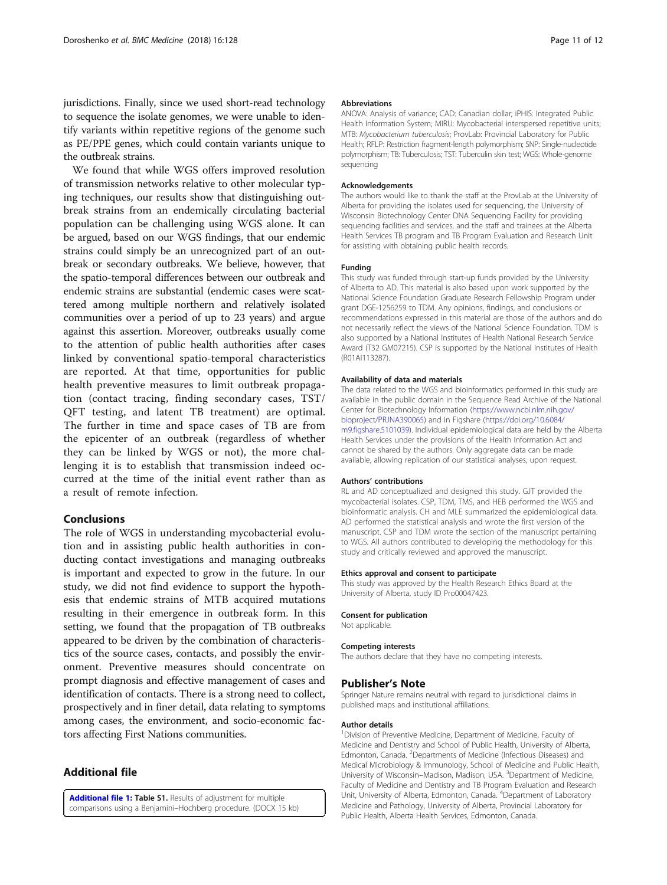<span id="page-10-0"></span>jurisdictions. Finally, since we used short-read technology to sequence the isolate genomes, we were unable to identify variants within repetitive regions of the genome such as PE/PPE genes, which could contain variants unique to the outbreak strains.

We found that while WGS offers improved resolution of transmission networks relative to other molecular typing techniques, our results show that distinguishing outbreak strains from an endemically circulating bacterial population can be challenging using WGS alone. It can be argued, based on our WGS findings, that our endemic strains could simply be an unrecognized part of an outbreak or secondary outbreaks. We believe, however, that the spatio-temporal differences between our outbreak and endemic strains are substantial (endemic cases were scattered among multiple northern and relatively isolated communities over a period of up to 23 years) and argue against this assertion. Moreover, outbreaks usually come to the attention of public health authorities after cases linked by conventional spatio-temporal characteristics are reported. At that time, opportunities for public health preventive measures to limit outbreak propagation (contact tracing, finding secondary cases, TST/ QFT testing, and latent TB treatment) are optimal. The further in time and space cases of TB are from the epicenter of an outbreak (regardless of whether they can be linked by WGS or not), the more challenging it is to establish that transmission indeed occurred at the time of the initial event rather than as a result of remote infection.

## Conclusions

The role of WGS in understanding mycobacterial evolution and in assisting public health authorities in conducting contact investigations and managing outbreaks is important and expected to grow in the future. In our study, we did not find evidence to support the hypothesis that endemic strains of MTB acquired mutations resulting in their emergence in outbreak form. In this setting, we found that the propagation of TB outbreaks appeared to be driven by the combination of characteristics of the source cases, contacts, and possibly the environment. Preventive measures should concentrate on prompt diagnosis and effective management of cases and identification of contacts. There is a strong need to collect, prospectively and in finer detail, data relating to symptoms among cases, the environment, and socio-economic factors affecting First Nations communities.

## Additional file

[Additional file 1:](https://doi.org/10.1186/s12916-018-1112-9) Table S1. Results of adjustment for multiple comparisons using a Benjamini–Hochberg procedure. (DOCX 15 kb)

#### Abbreviations

ANOVA: Analysis of variance; CAD: Canadian dollar; iPHIS: Integrated Public Health Information System; MIRU: Mycobacterial interspersed repetitive units; MTB: Mycobacterium tuberculosis; ProvLab: Provincial Laboratory for Public Health; RFLP: Restriction fragment-length polymorphism; SNP: Single-nucleotide polymorphism; TB: Tuberculosis; TST: Tuberculin skin test; WGS: Whole-genome sequencing

#### Acknowledgements

The authors would like to thank the staff at the ProvLab at the University of Alberta for providing the isolates used for sequencing, the University of Wisconsin Biotechnology Center DNA Sequencing Facility for providing sequencing facilities and services, and the staff and trainees at the Alberta Health Services TB program and TB Program Evaluation and Research Unit for assisting with obtaining public health records.

#### Funding

This study was funded through start-up funds provided by the University of Alberta to AD. This material is also based upon work supported by the National Science Foundation Graduate Research Fellowship Program under grant DGE-1256259 to TDM. Any opinions, findings, and conclusions or recommendations expressed in this material are those of the authors and do not necessarily reflect the views of the National Science Foundation. TDM is also supported by a National Institutes of Health National Research Service Award (T32 GM07215). CSP is supported by the National Institutes of Health (R01AI113287).

#### Availability of data and materials

The data related to the WGS and bioinformatics performed in this study are available in the public domain in the Sequence Read Archive of the National Center for Biotechnology Information ([https://www.ncbi.nlm.nih.gov/](https://www.ncbi.nlm.nih.gov/bioproject/PRJNA390065) [bioproject/PRJNA390065\)](https://www.ncbi.nlm.nih.gov/bioproject/PRJNA390065) and in Figshare ([https://doi.org/10.6084/](https://doi.org/10.6084/m9.figshare.5101039) [m9.figshare.5101039\)](https://doi.org/10.6084/m9.figshare.5101039). Individual epidemiological data are held by the Alberta Health Services under the provisions of the Health Information Act and cannot be shared by the authors. Only aggregate data can be made available, allowing replication of our statistical analyses, upon request.

### Authors' contributions

RL and AD conceptualized and designed this study. GJT provided the mycobacterial isolates. CSP, TDM, TMS, and HEB performed the WGS and bioinformatic analysis. CH and MLE summarized the epidemiological data. AD performed the statistical analysis and wrote the first version of the manuscript. CSP and TDM wrote the section of the manuscript pertaining to WGS. All authors contributed to developing the methodology for this study and critically reviewed and approved the manuscript.

#### Ethics approval and consent to participate

This study was approved by the Health Research Ethics Board at the University of Alberta, study ID Pro00047423.

#### Consent for publication

Not applicable.

## Competing interests

The authors declare that they have no competing interests.

#### Publisher's Note

Springer Nature remains neutral with regard to jurisdictional claims in published maps and institutional affiliations.

#### Author details

<sup>1</sup> Division of Preventive Medicine, Department of Medicine, Faculty of Medicine and Dentistry and School of Public Health, University of Alberta, Edmonton, Canada. <sup>2</sup>Departments of Medicine (Infectious Diseases) and Medical Microbiology & Immunology, School of Medicine and Public Health, University of Wisconsin-Madison, Madison, USA. <sup>3</sup>Department of Medicine Faculty of Medicine and Dentistry and TB Program Evaluation and Research Unit, University of Alberta, Edmonton, Canada. <sup>4</sup>Department of Laboratory Medicine and Pathology, University of Alberta, Provincial Laboratory for Public Health, Alberta Health Services, Edmonton, Canada.